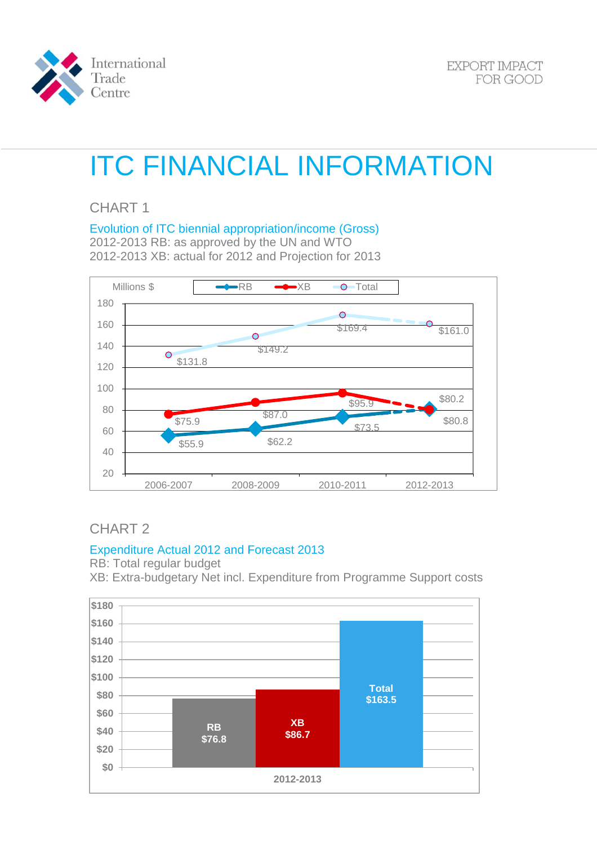

# ITC FINANCIAL INFORMATION

CHART 1

#### Evolution of ITC biennial appropriation/income (Gross)

2012-2013 RB: as approved by the UN and WTO 2012-2013 XB: actual for 2012 and Projection for 2013



## CHART 2

#### Expenditure Actual 2012 and Forecast 2013

RB: Total regular budget

XB: Extra-budgetary Net incl. Expenditure from Programme Support costs

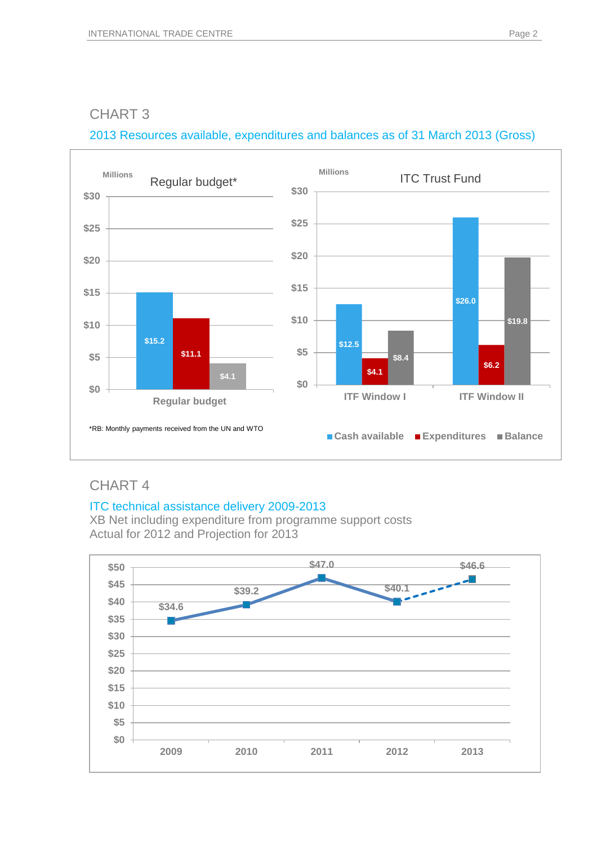## CHART 3





## CHART 4

#### ITC technical assistance delivery 2009-2013

XB Net including expenditure from programme support costs Actual for 2012 and Projection for 2013